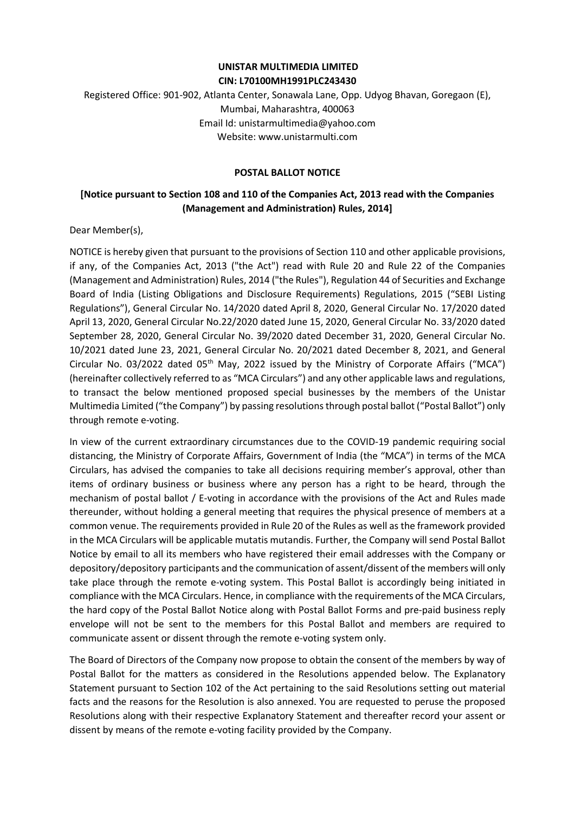#### UNISTAR MULTIMEDIA LIMITED CIN: L70100MH1991PLC243430

# Registered Office: 901-902, Atlanta Center, Sonawala Lane, Opp. Udyog Bhavan, Goregaon (E), Mumbai, Maharashtra, 400063 Email Id: unistarmultimedia@yahoo.com Website: www.unistarmulti.com

### POSTAL BALLOT NOTICE

### [Notice pursuant to Section 108 and 110 of the Companies Act, 2013 read with the Companies (Management and Administration) Rules, 2014]

Dear Member(s),

NOTICE is hereby given that pursuant to the provisions of Section 110 and other applicable provisions, if any, of the Companies Act, 2013 ("the Act") read with Rule 20 and Rule 22 of the Companies (Management and Administration) Rules, 2014 ("the Rules"), Regulation 44 of Securities and Exchange Board of India (Listing Obligations and Disclosure Requirements) Regulations, 2015 ("SEBI Listing Regulations"), General Circular No. 14/2020 dated April 8, 2020, General Circular No. 17/2020 dated April 13, 2020, General Circular No.22/2020 dated June 15, 2020, General Circular No. 33/2020 dated September 28, 2020, General Circular No. 39/2020 dated December 31, 2020, General Circular No. 10/2021 dated June 23, 2021, General Circular No. 20/2021 dated December 8, 2021, and General Circular No. 03/2022 dated 05<sup>th</sup> May, 2022 issued by the Ministry of Corporate Affairs ("MCA") (hereinafter collectively referred to as "MCA Circulars") and any other applicable laws and regulations, to transact the below mentioned proposed special businesses by the members of the Unistar Multimedia Limited ("the Company") by passing resolutions through postal ballot ("Postal Ballot") only through remote e-voting.

In view of the current extraordinary circumstances due to the COVID-19 pandemic requiring social distancing, the Ministry of Corporate Affairs, Government of India (the "MCA") in terms of the MCA Circulars, has advised the companies to take all decisions requiring member's approval, other than items of ordinary business or business where any person has a right to be heard, through the mechanism of postal ballot / E-voting in accordance with the provisions of the Act and Rules made thereunder, without holding a general meeting that requires the physical presence of members at a common venue. The requirements provided in Rule 20 of the Rules as well as the framework provided in the MCA Circulars will be applicable mutatis mutandis. Further, the Company will send Postal Ballot Notice by email to all its members who have registered their email addresses with the Company or depository/depository participants and the communication of assent/dissent of the members will only take place through the remote e-voting system. This Postal Ballot is accordingly being initiated in compliance with the MCA Circulars. Hence, in compliance with the requirements of the MCA Circulars, the hard copy of the Postal Ballot Notice along with Postal Ballot Forms and pre-paid business reply envelope will not be sent to the members for this Postal Ballot and members are required to communicate assent or dissent through the remote e-voting system only.

The Board of Directors of the Company now propose to obtain the consent of the members by way of Postal Ballot for the matters as considered in the Resolutions appended below. The Explanatory Statement pursuant to Section 102 of the Act pertaining to the said Resolutions setting out material facts and the reasons for the Resolution is also annexed. You are requested to peruse the proposed Resolutions along with their respective Explanatory Statement and thereafter record your assent or dissent by means of the remote e-voting facility provided by the Company.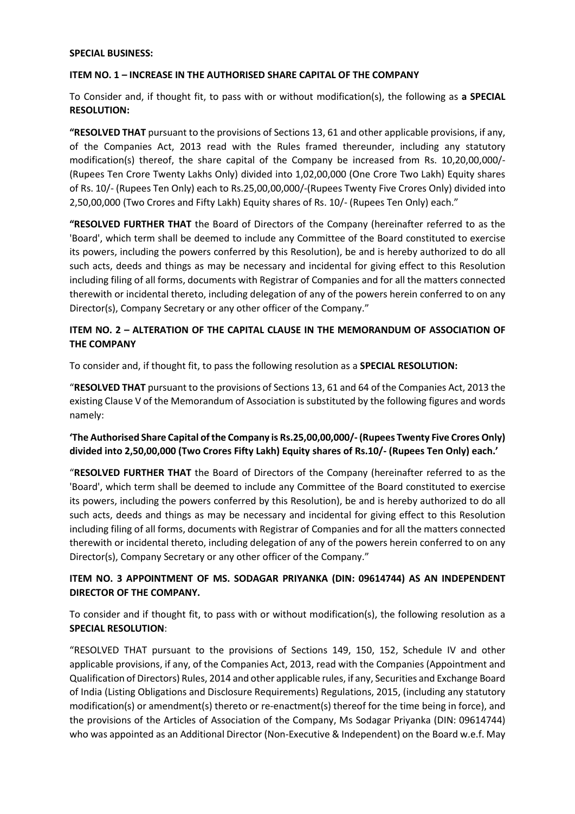#### SPECIAL BUSINESS:

#### ITEM NO. 1 – INCREASE IN THE AUTHORISED SHARE CAPITAL OF THE COMPANY

To Consider and, if thought fit, to pass with or without modification(s), the following as a SPECIAL RESOLUTION:

"RESOLVED THAT pursuant to the provisions of Sections 13, 61 and other applicable provisions, if any, of the Companies Act, 2013 read with the Rules framed thereunder, including any statutory modification(s) thereof, the share capital of the Company be increased from Rs. 10,20,00,000/- (Rupees Ten Crore Twenty Lakhs Only) divided into 1,02,00,000 (One Crore Two Lakh) Equity shares of Rs. 10/- (Rupees Ten Only) each to Rs.25,00,00,000/-(Rupees Twenty Five Crores Only) divided into 2,50,00,000 (Two Crores and Fifty Lakh) Equity shares of Rs. 10/- (Rupees Ten Only) each."

"RESOLVED FURTHER THAT the Board of Directors of the Company (hereinafter referred to as the 'Board', which term shall be deemed to include any Committee of the Board constituted to exercise its powers, including the powers conferred by this Resolution), be and is hereby authorized to do all such acts, deeds and things as may be necessary and incidental for giving effect to this Resolution including filing of all forms, documents with Registrar of Companies and for all the matters connected therewith or incidental thereto, including delegation of any of the powers herein conferred to on any Director(s), Company Secretary or any other officer of the Company."

### ITEM NO. 2 – ALTERATION OF THE CAPITAL CLAUSE IN THE MEMORANDUM OF ASSOCIATION OF THE COMPANY

To consider and, if thought fit, to pass the following resolution as a SPECIAL RESOLUTION:

"RESOLVED THAT pursuant to the provisions of Sections 13, 61 and 64 of the Companies Act, 2013 the existing Clause V of the Memorandum of Association is substituted by the following figures and words namely:

### 'The Authorised Share Capital of the Company is Rs.25,00,00,000/- (Rupees Twenty Five Crores Only) divided into 2,50,00,000 (Two Crores Fifty Lakh) Equity shares of Rs.10/- (Rupees Ten Only) each.'

"RESOLVED FURTHER THAT the Board of Directors of the Company (hereinafter referred to as the 'Board', which term shall be deemed to include any Committee of the Board constituted to exercise its powers, including the powers conferred by this Resolution), be and is hereby authorized to do all such acts, deeds and things as may be necessary and incidental for giving effect to this Resolution including filing of all forms, documents with Registrar of Companies and for all the matters connected therewith or incidental thereto, including delegation of any of the powers herein conferred to on any Director(s), Company Secretary or any other officer of the Company."

### ITEM NO. 3 APPOINTMENT OF MS. SODAGAR PRIYANKA (DIN: 09614744) AS AN INDEPENDENT DIRECTOR OF THE COMPANY.

To consider and if thought fit, to pass with or without modification(s), the following resolution as a SPECIAL RESOLUTION:

"RESOLVED THAT pursuant to the provisions of Sections 149, 150, 152, Schedule IV and other applicable provisions, if any, of the Companies Act, 2013, read with the Companies (Appointment and Qualification of Directors) Rules, 2014 and other applicable rules, if any, Securities and Exchange Board of India (Listing Obligations and Disclosure Requirements) Regulations, 2015, (including any statutory modification(s) or amendment(s) thereto or re-enactment(s) thereof for the time being in force), and the provisions of the Articles of Association of the Company, Ms Sodagar Priyanka (DIN: 09614744) who was appointed as an Additional Director (Non-Executive & Independent) on the Board w.e.f. May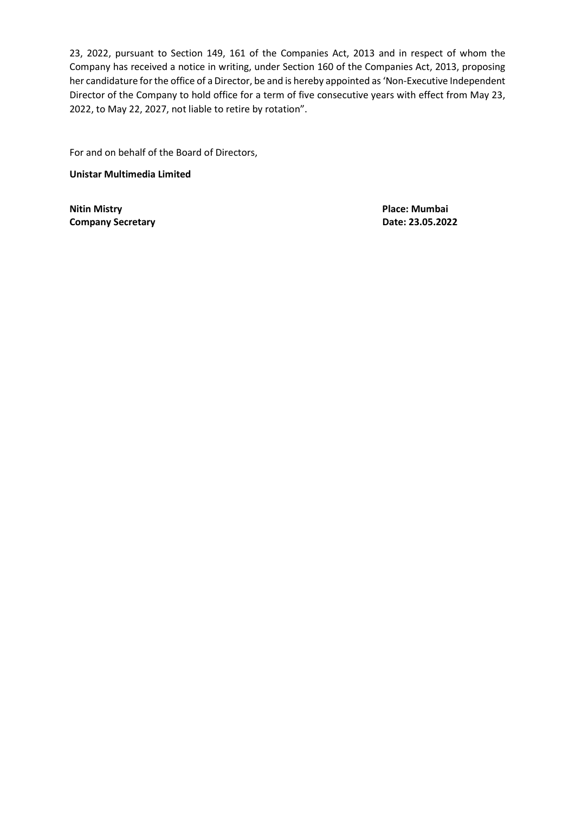23, 2022, pursuant to Section 149, 161 of the Companies Act, 2013 and in respect of whom the Company has received a notice in writing, under Section 160 of the Companies Act, 2013, proposing her candidature for the office of a Director, be and is hereby appointed as 'Non-Executive Independent Director of the Company to hold office for a term of five consecutive years with effect from May 23, 2022, to May 22, 2027, not liable to retire by rotation".

For and on behalf of the Board of Directors,

Unistar Multimedia Limited

Nitin Mistry Place: Mumbai Company Secretary **Date: 23.05.2022**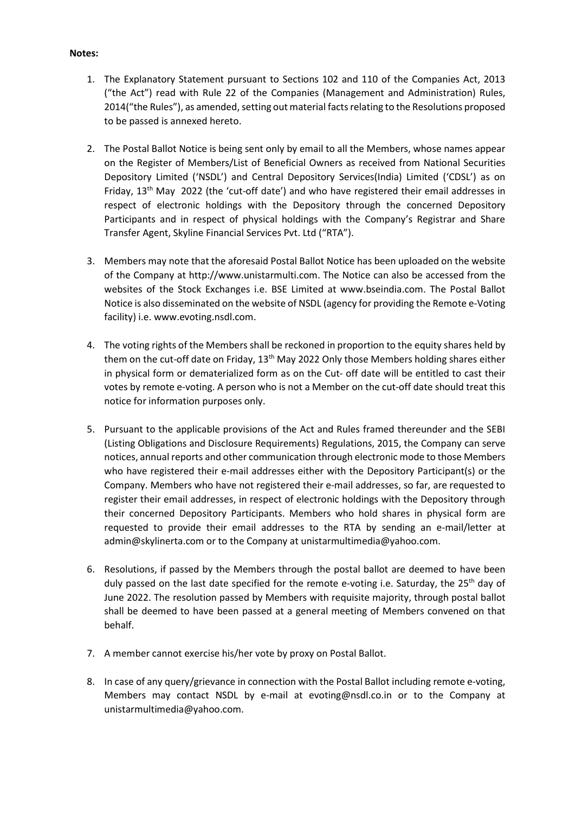#### Notes:

- 1. The Explanatory Statement pursuant to Sections 102 and 110 of the Companies Act, 2013 ("the Act") read with Rule 22 of the Companies (Management and Administration) Rules, 2014("the Rules"), as amended, setting out material facts relating to the Resolutions proposed to be passed is annexed hereto.
- 2. The Postal Ballot Notice is being sent only by email to all the Members, whose names appear on the Register of Members/List of Beneficial Owners as received from National Securities Depository Limited ('NSDL') and Central Depository Services(India) Limited ('CDSL') as on Friday,  $13<sup>th</sup>$  May 2022 (the 'cut-off date') and who have registered their email addresses in respect of electronic holdings with the Depository through the concerned Depository Participants and in respect of physical holdings with the Company's Registrar and Share Transfer Agent, Skyline Financial Services Pvt. Ltd ("RTA").
- 3. Members may note that the aforesaid Postal Ballot Notice has been uploaded on the website of the Company at http://www.unistarmulti.com. The Notice can also be accessed from the websites of the Stock Exchanges i.e. BSE Limited at www.bseindia.com. The Postal Ballot Notice is also disseminated on the website of NSDL (agency for providing the Remote e-Voting facility) i.e. www.evoting.nsdl.com.
- 4. The voting rights of the Members shall be reckoned in proportion to the equity shares held by them on the cut-off date on Friday, 13<sup>th</sup> May 2022 Only those Members holding shares either in physical form or dematerialized form as on the Cut- off date will be entitled to cast their votes by remote e-voting. A person who is not a Member on the cut-off date should treat this notice for information purposes only.
- 5. Pursuant to the applicable provisions of the Act and Rules framed thereunder and the SEBI (Listing Obligations and Disclosure Requirements) Regulations, 2015, the Company can serve notices, annual reports and other communication through electronic mode to those Members who have registered their e-mail addresses either with the Depository Participant(s) or the Company. Members who have not registered their e-mail addresses, so far, are requested to register their email addresses, in respect of electronic holdings with the Depository through their concerned Depository Participants. Members who hold shares in physical form are requested to provide their email addresses to the RTA by sending an e-mail/letter at admin@skylinerta.com or to the Company at unistarmultimedia@yahoo.com.
- 6. Resolutions, if passed by the Members through the postal ballot are deemed to have been duly passed on the last date specified for the remote e-voting i.e. Saturday, the 25<sup>th</sup> day of June 2022. The resolution passed by Members with requisite majority, through postal ballot shall be deemed to have been passed at a general meeting of Members convened on that behalf.
- 7. A member cannot exercise his/her vote by proxy on Postal Ballot.
- 8. In case of any query/grievance in connection with the Postal Ballot including remote e-voting, Members may contact NSDL by e-mail at evoting@nsdl.co.in or to the Company at unistarmultimedia@yahoo.com.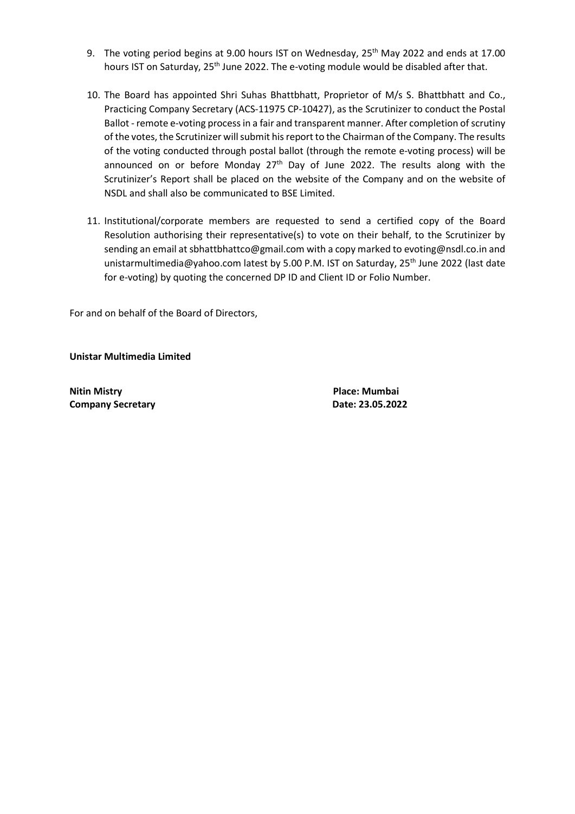- 9. The voting period begins at 9.00 hours IST on Wednesday, 25<sup>th</sup> May 2022 and ends at 17.00 hours IST on Saturday, 25<sup>th</sup> June 2022. The e-voting module would be disabled after that.
- 10. The Board has appointed Shri Suhas Bhattbhatt, Proprietor of M/s S. Bhattbhatt and Co., Practicing Company Secretary (ACS-11975 CP-10427), as the Scrutinizer to conduct the Postal Ballot - remote e-voting process in a fair and transparent manner. After completion of scrutiny of the votes, the Scrutinizer will submit his report to the Chairman of the Company. The results of the voting conducted through postal ballot (through the remote e-voting process) will be announced on or before Monday  $27<sup>th</sup>$  Day of June 2022. The results along with the Scrutinizer's Report shall be placed on the website of the Company and on the website of NSDL and shall also be communicated to BSE Limited.
- 11. Institutional/corporate members are requested to send a certified copy of the Board Resolution authorising their representative(s) to vote on their behalf, to the Scrutinizer by sending an email at sbhattbhattco@gmail.com with a copy marked to evoting@nsdl.co.in and unistarmultimedia@yahoo.com latest by 5.00 P.M. IST on Saturday,  $25<sup>th</sup>$  June 2022 (last date for e-voting) by quoting the concerned DP ID and Client ID or Folio Number.

For and on behalf of the Board of Directors,

Unistar Multimedia Limited

Nitin Mistry **Place:** Mumbai **Company Secretary Company Secretary Company Secretary Company Secretary Company Secretary Company Secretary Company Secretary Company Secretary Company Secretary Company Secretary Company Secretary Company Secretary Compa**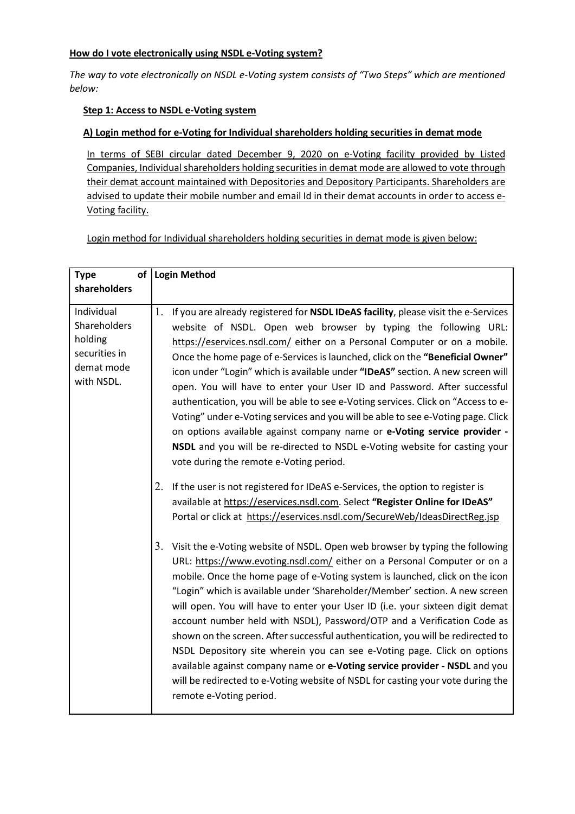### How do I vote electronically using NSDL e-Voting system?

The way to vote electronically on NSDL e-Voting system consists of "Two Steps" which are mentioned below:

### Step 1: Access to NSDL e-Voting system

### A) Login method for e-Voting for Individual shareholders holding securities in demat mode

In terms of SEBI circular dated December 9, 2020 on e-Voting facility provided by Listed Companies, Individual shareholders holding securities in demat mode are allowed to vote through their demat account maintained with Depositories and Depository Participants. Shareholders are advised to update their mobile number and email Id in their demat accounts in order to access e-Voting facility.

Login method for Individual shareholders holding securities in demat mode is given below:

| <b>Type</b>                                                                        | of   Login Method                                                                                                                                                                                                                                                                                                                                                                                                                                                                                                                                                                                                                                                                                                                                                                                                                                                    |
|------------------------------------------------------------------------------------|----------------------------------------------------------------------------------------------------------------------------------------------------------------------------------------------------------------------------------------------------------------------------------------------------------------------------------------------------------------------------------------------------------------------------------------------------------------------------------------------------------------------------------------------------------------------------------------------------------------------------------------------------------------------------------------------------------------------------------------------------------------------------------------------------------------------------------------------------------------------|
| shareholders                                                                       |                                                                                                                                                                                                                                                                                                                                                                                                                                                                                                                                                                                                                                                                                                                                                                                                                                                                      |
| Individual<br>Shareholders<br>holding<br>securities in<br>demat mode<br>with NSDL. | 1.<br>If you are already registered for NSDL IDeAS facility, please visit the e-Services<br>website of NSDL. Open web browser by typing the following URL:<br>https://eservices.nsdl.com/ either on a Personal Computer or on a mobile.<br>Once the home page of e-Services is launched, click on the "Beneficial Owner"<br>icon under "Login" which is available under "IDeAS" section. A new screen will<br>open. You will have to enter your User ID and Password. After successful<br>authentication, you will be able to see e-Voting services. Click on "Access to e-<br>Voting" under e-Voting services and you will be able to see e-Voting page. Click<br>on options available against company name or e-Voting service provider -<br>NSDL and you will be re-directed to NSDL e-Voting website for casting your<br>vote during the remote e-Voting period. |
|                                                                                    | If the user is not registered for IDeAS e-Services, the option to register is<br>2.<br>available at https://eservices.nsdl.com. Select "Register Online for IDeAS"<br>Portal or click at https://eservices.nsdl.com/SecureWeb/IdeasDirectReg.jsp                                                                                                                                                                                                                                                                                                                                                                                                                                                                                                                                                                                                                     |
|                                                                                    | 3.<br>Visit the e-Voting website of NSDL. Open web browser by typing the following<br>URL: https://www.evoting.nsdl.com/ either on a Personal Computer or on a<br>mobile. Once the home page of e-Voting system is launched, click on the icon<br>"Login" which is available under 'Shareholder/Member' section. A new screen<br>will open. You will have to enter your User ID (i.e. your sixteen digit demat<br>account number held with NSDL), Password/OTP and a Verification Code as<br>shown on the screen. After successful authentication, you will be redirected to<br>NSDL Depository site wherein you can see e-Voting page. Click on options<br>available against company name or e-Voting service provider - NSDL and you<br>will be redirected to e-Voting website of NSDL for casting your vote during the<br>remote e-Voting period.                 |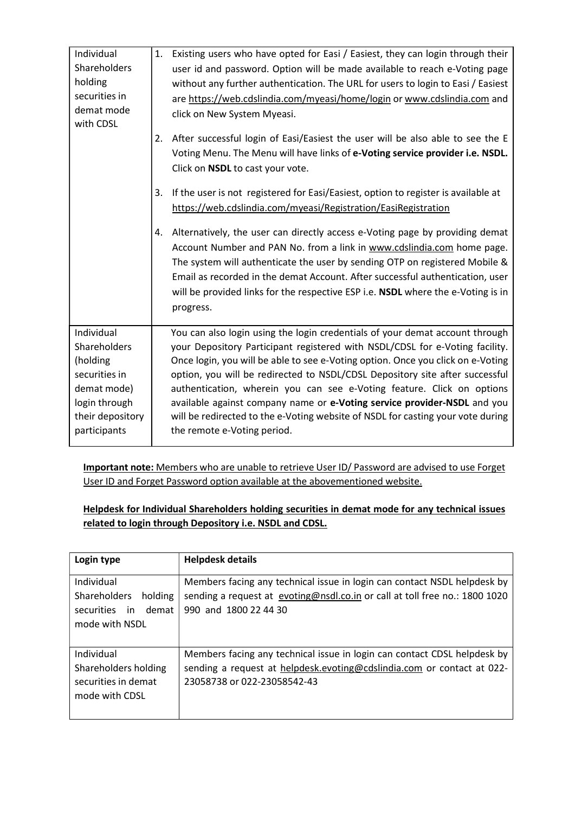| Individual<br>Shareholders | 1. Existing users who have opted for Easi / Easiest, they can login through their<br>user id and password. Option will be made available to reach e-Voting page |
|----------------------------|-----------------------------------------------------------------------------------------------------------------------------------------------------------------|
| holding                    |                                                                                                                                                                 |
| securities in              | without any further authentication. The URL for users to login to Easi / Easiest                                                                                |
| demat mode                 | are https://web.cdslindia.com/myeasi/home/login or www.cdslindia.com and                                                                                        |
| with CDSL                  | click on New System Myeasi.                                                                                                                                     |
|                            | After successful login of Easi/Easiest the user will be also able to see the E<br>2.                                                                            |
|                            | Voting Menu. The Menu will have links of e-Voting service provider i.e. NSDL.                                                                                   |
|                            | Click on NSDL to cast your vote.                                                                                                                                |
|                            | If the user is not registered for Easi/Easiest, option to register is available at<br>3.                                                                        |
|                            | https://web.cdslindia.com/myeasi/Registration/EasiRegistration                                                                                                  |
|                            | Alternatively, the user can directly access e-Voting page by providing demat<br>4.                                                                              |
|                            | Account Number and PAN No. from a link in www.cdslindia.com home page.                                                                                          |
|                            | The system will authenticate the user by sending OTP on registered Mobile &                                                                                     |
|                            | Email as recorded in the demat Account. After successful authentication, user                                                                                   |
|                            | will be provided links for the respective ESP i.e. NSDL where the e-Voting is in                                                                                |
|                            | progress.                                                                                                                                                       |
| Individual                 | You can also login using the login credentials of your demat account through                                                                                    |
| Shareholders               | your Depository Participant registered with NSDL/CDSL for e-Voting facility.                                                                                    |
| (holding                   | Once login, you will be able to see e-Voting option. Once you click on e-Voting                                                                                 |
| securities in              | option, you will be redirected to NSDL/CDSL Depository site after successful                                                                                    |
| demat mode)                | authentication, wherein you can see e-Voting feature. Click on options                                                                                          |
| login through              | available against company name or e-Voting service provider-NSDL and you                                                                                        |
| their depository           | will be redirected to the e-Voting website of NSDL for casting your vote during                                                                                 |
| participants               | the remote e-Voting period.                                                                                                                                     |
|                            |                                                                                                                                                                 |

Important note: Members who are unable to retrieve User ID/ Password are advised to use Forget User ID and Forget Password option available at the abovementioned website.

## Helpdesk for Individual Shareholders holding securities in demat mode for any technical issues related to login through Depository i.e. NSDL and CDSL.

| Login type                                                                           | <b>Helpdesk details</b>                                                                                                                                                           |
|--------------------------------------------------------------------------------------|-----------------------------------------------------------------------------------------------------------------------------------------------------------------------------------|
| Individual<br>Shareholders<br>holding<br>demat<br>in<br>securities<br>mode with NSDL | Members facing any technical issue in login can contact NSDL helpdesk by<br>sending a request at evoting@nsdl.co.in or call at toll free no.: 1800 1020<br>990 and 1800 22 44 30  |
| Individual<br>Shareholders holding<br>securities in demat<br>mode with CDSL          | Members facing any technical issue in login can contact CDSL helpdesk by<br>sending a request at helpdesk.evoting@cdslindia.com or contact at 022-<br>23058738 or 022-23058542-43 |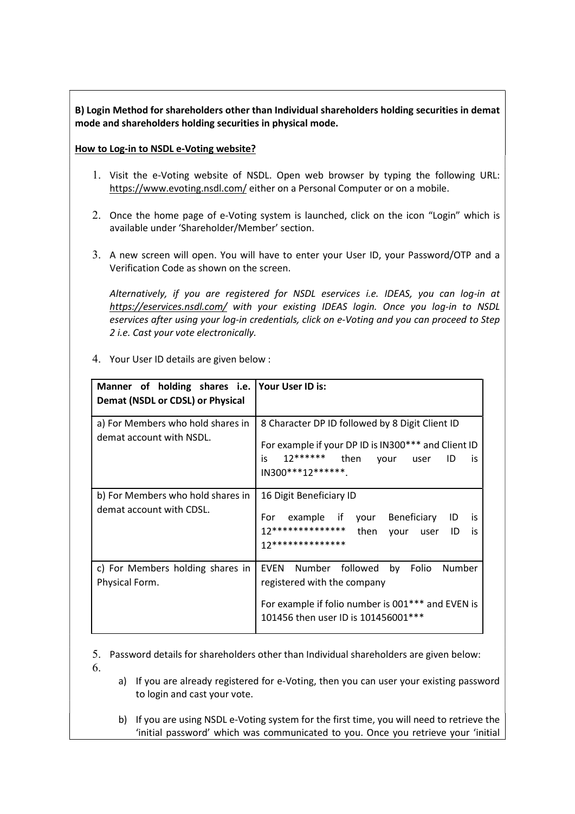### B) Login Method for shareholders other than Individual shareholders holding securities in demat mode and shareholders holding securities in physical mode.

### How to Log-in to NSDL e-Voting website?

- 1. Visit the e-Voting website of NSDL. Open web browser by typing the following URL: https://www.evoting.nsdl.com/ either on a Personal Computer or on a mobile.
- 2. Once the home page of e-Voting system is launched, click on the icon "Login" which is available under 'Shareholder/Member' section.
- 3. A new screen will open. You will have to enter your User ID, your Password/OTP and a Verification Code as shown on the screen.

Alternatively, if you are registered for NSDL eservices i.e. IDEAS, you can log-in at https://eservices.nsdl.com/ with your existing IDEAS login. Once you log-in to NSDL eservices after using your log-in credentials, click on e-Voting and you can proceed to Step 2 i.e. Cast your vote electronically.

4. Your User ID details are given below :

| Manner of holding shares i.e. Your User ID is:<br>Demat (NSDL or CDSL) or Physical |                                                                                                                                                                                 |
|------------------------------------------------------------------------------------|---------------------------------------------------------------------------------------------------------------------------------------------------------------------------------|
| a) For Members who hold shares in<br>demat account with NSDL.                      | 8 Character DP ID followed by 8 Digit Client ID<br>For example if your DP ID is IN300*** and Client ID<br>12****** then<br>is.<br>your user<br>ID<br>is<br>IN300***12******.    |
| b) For Members who hold shares in<br>demat account with CDSL.                      | 16 Digit Beneficiary ID<br>For example if your Beneficiary<br>ID<br>is<br>12************** then<br>your user ID<br>is<br>17**************                                       |
| c) For Members holding shares in<br>Physical Form.                                 | <b>EVEN</b><br>Number followed by<br>Folio<br>Number<br>registered with the company<br>For example if folio number is 001*** and EVEN is<br>101456 then user ID is 101456001*** |

5. Password details for shareholders other than Individual shareholders are given below: 6.

- a) If you are already registered for e-Voting, then you can user your existing password to login and cast your vote.
- b) If you are using NSDL e-Voting system for the first time, you will need to retrieve the 'initial password' which was communicated to you. Once you retrieve your 'initial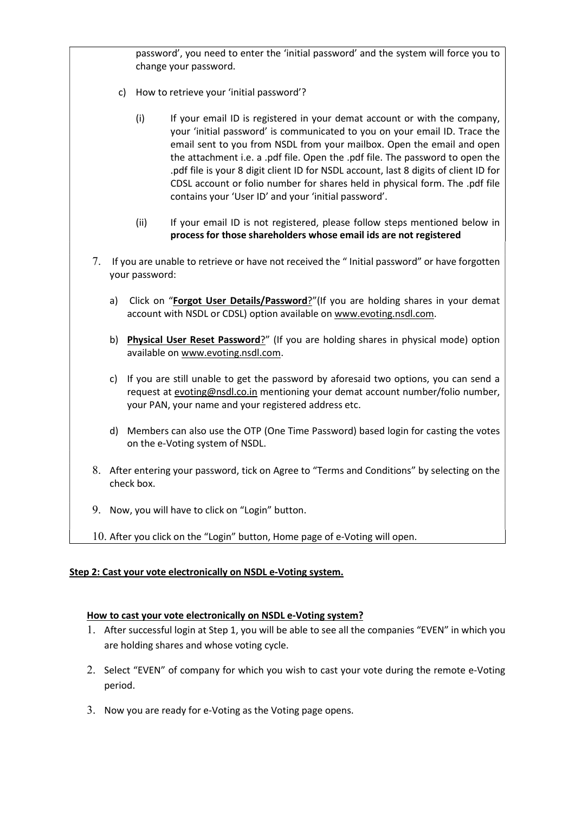password', you need to enter the 'initial password' and the system will force you to change your password.

- c) How to retrieve your 'initial password'?
	- (i) If your email ID is registered in your demat account or with the company, your 'initial password' is communicated to you on your email ID. Trace the email sent to you from NSDL from your mailbox. Open the email and open the attachment i.e. a .pdf file. Open the .pdf file. The password to open the .pdf file is your 8 digit client ID for NSDL account, last 8 digits of client ID for CDSL account or folio number for shares held in physical form. The .pdf file contains your 'User ID' and your 'initial password'.
	- (ii) If your email ID is not registered, please follow steps mentioned below in process for those shareholders whose email ids are not registered
- 7. If you are unable to retrieve or have not received the " Initial password" or have forgotten your password:
	- a) Click on "Forgot User Details/Password?"(If you are holding shares in your demat account with NSDL or CDSL) option available on www.evoting.nsdl.com.
	- b) Physical User Reset Password?" (If you are holding shares in physical mode) option available on www.evoting.nsdl.com.
	- c) If you are still unable to get the password by aforesaid two options, you can send a request at evoting@nsdl.co.in mentioning your demat account number/folio number, your PAN, your name and your registered address etc.
	- d) Members can also use the OTP (One Time Password) based login for casting the votes on the e-Voting system of NSDL.
- 8. After entering your password, tick on Agree to "Terms and Conditions" by selecting on the check box.
- 9. Now, you will have to click on "Login" button.
- 10. After you click on the "Login" button, Home page of e-Voting will open.

#### Step 2: Cast your vote electronically on NSDL e-Voting system.

#### How to cast your vote electronically on NSDL e-Voting system?

- 1. After successful login at Step 1, you will be able to see all the companies "EVEN" in which you are holding shares and whose voting cycle.
- 2. Select "EVEN" of company for which you wish to cast your vote during the remote e-Voting period.
- 3. Now you are ready for e-Voting as the Voting page opens.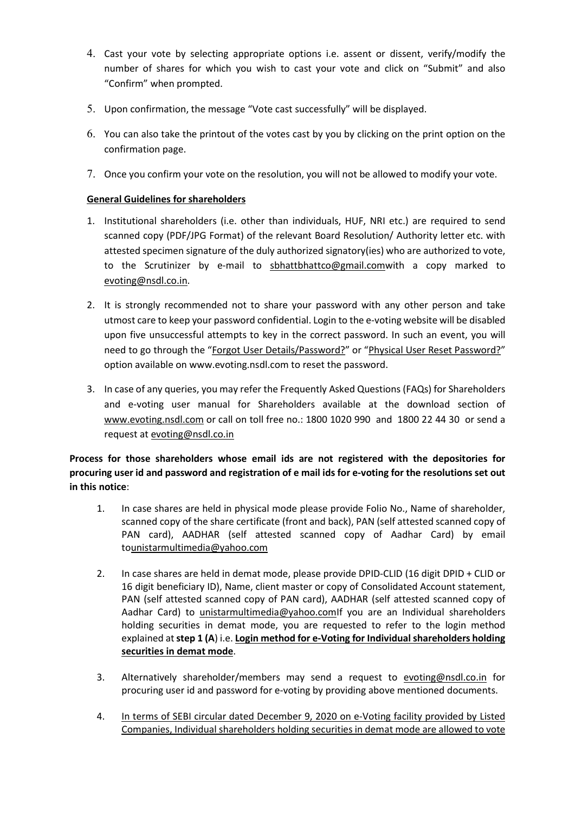- 4. Cast your vote by selecting appropriate options i.e. assent or dissent, verify/modify the number of shares for which you wish to cast your vote and click on "Submit" and also "Confirm" when prompted.
- 5. Upon confirmation, the message "Vote cast successfully" will be displayed.
- 6. You can also take the printout of the votes cast by you by clicking on the print option on the confirmation page.
- 7. Once you confirm your vote on the resolution, you will not be allowed to modify your vote.

### General Guidelines for shareholders

- 1. Institutional shareholders (i.e. other than individuals, HUF, NRI etc.) are required to send scanned copy (PDF/JPG Format) of the relevant Board Resolution/ Authority letter etc. with attested specimen signature of the duly authorized signatory(ies) who are authorized to vote, to the Scrutinizer by e-mail to sbhattbhattco@gmail.comwith a copy marked to evoting@nsdl.co.in.
- 2. It is strongly recommended not to share your password with any other person and take utmost care to keep your password confidential. Login to the e-voting website will be disabled upon five unsuccessful attempts to key in the correct password. In such an event, you will need to go through the "Forgot User Details/Password?" or "Physical User Reset Password?" option available on www.evoting.nsdl.com to reset the password.
- 3. In case of any queries, you may refer the Frequently Asked Questions (FAQs) for Shareholders and e-voting user manual for Shareholders available at the download section of www.evoting.nsdl.com or call on toll free no.: 1800 1020 990 and 1800 22 44 30 or send a request at evoting@nsdl.co.in

Process for those shareholders whose email ids are not registered with the depositories for procuring user id and password and registration of e mail ids for e-voting for the resolutions set out in this notice:

- 1. In case shares are held in physical mode please provide Folio No., Name of shareholder, scanned copy of the share certificate (front and back), PAN (self attested scanned copy of PAN card), AADHAR (self attested scanned copy of Aadhar Card) by email tounistarmultimedia@yahoo.com
- 2. In case shares are held in demat mode, please provide DPID-CLID (16 digit DPID + CLID or 16 digit beneficiary ID), Name, client master or copy of Consolidated Account statement, PAN (self attested scanned copy of PAN card), AADHAR (self attested scanned copy of Aadhar Card) to unistarmultimedia@yahoo.comIf you are an Individual shareholders holding securities in demat mode, you are requested to refer to the login method explained at step 1 (A) i.e. Login method for e-Voting for Individual shareholders holding securities in demat mode.
- 3. Alternatively shareholder/members may send a request to evoting@nsdl.co.in for procuring user id and password for e-voting by providing above mentioned documents.
- 4. In terms of SEBI circular dated December 9, 2020 on e-Voting facility provided by Listed Companies, Individual shareholders holding securities in demat mode are allowed to vote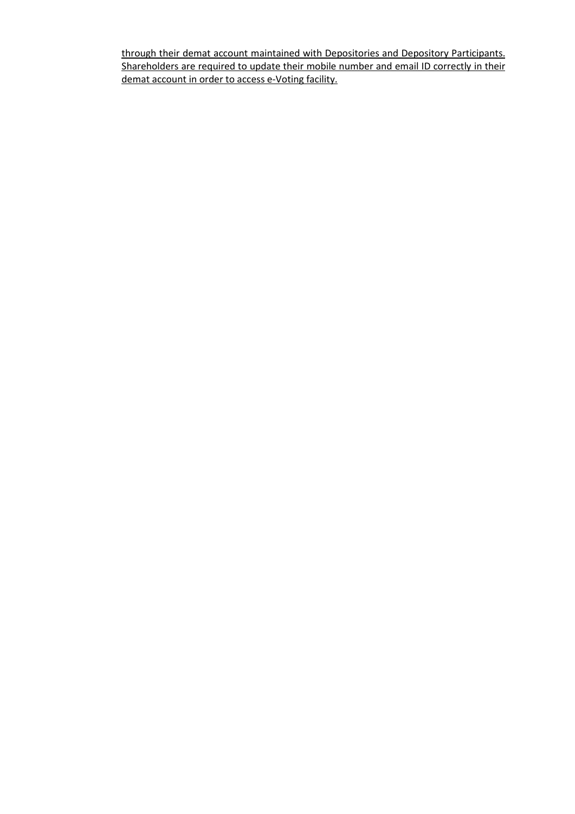through their demat account maintained with Depositories and Depository Participants. Shareholders are required to update their mobile number and email ID correctly in their demat account in order to access e-Voting facility.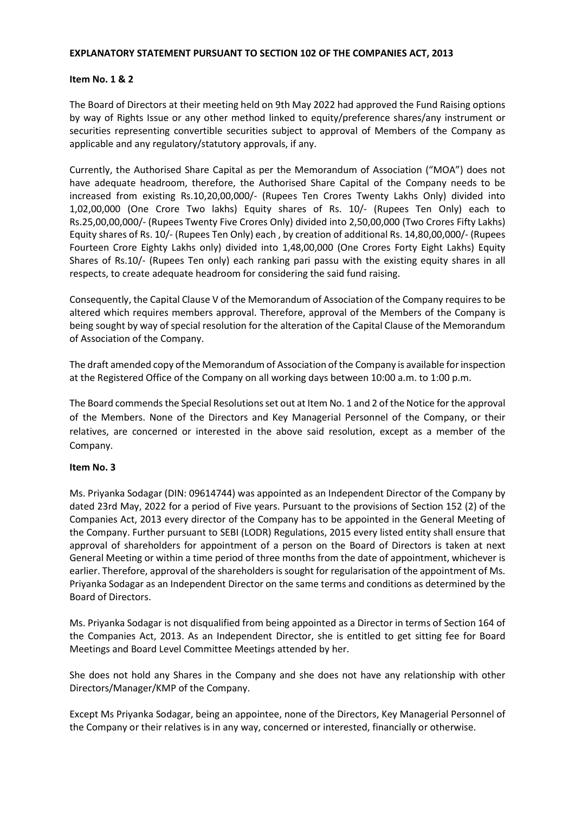#### EXPLANATORY STATEMENT PURSUANT TO SECTION 102 OF THE COMPANIES ACT, 2013

#### Item No. 1 & 2

The Board of Directors at their meeting held on 9th May 2022 had approved the Fund Raising options by way of Rights Issue or any other method linked to equity/preference shares/any instrument or securities representing convertible securities subject to approval of Members of the Company as applicable and any regulatory/statutory approvals, if any.

Currently, the Authorised Share Capital as per the Memorandum of Association ("MOA") does not have adequate headroom, therefore, the Authorised Share Capital of the Company needs to be increased from existing Rs.10,20,00,000/- (Rupees Ten Crores Twenty Lakhs Only) divided into 1,02,00,000 (One Crore Two lakhs) Equity shares of Rs. 10/- (Rupees Ten Only) each to Rs.25,00,00,000/- (Rupees Twenty Five Crores Only) divided into 2,50,00,000 (Two Crores Fifty Lakhs) Equity shares of Rs. 10/- (Rupees Ten Only) each , by creation of additional Rs. 14,80,00,000/- (Rupees Fourteen Crore Eighty Lakhs only) divided into 1,48,00,000 (One Crores Forty Eight Lakhs) Equity Shares of Rs.10/- (Rupees Ten only) each ranking pari passu with the existing equity shares in all respects, to create adequate headroom for considering the said fund raising.

Consequently, the Capital Clause V of the Memorandum of Association of the Company requires to be altered which requires members approval. Therefore, approval of the Members of the Company is being sought by way of special resolution for the alteration of the Capital Clause of the Memorandum of Association of the Company.

The draft amended copy of the Memorandum of Association of the Company is available for inspection at the Registered Office of the Company on all working days between 10:00 a.m. to 1:00 p.m.

The Board commends the Special Resolutions set out at Item No. 1 and 2 of the Notice for the approval of the Members. None of the Directors and Key Managerial Personnel of the Company, or their relatives, are concerned or interested in the above said resolution, except as a member of the Company.

#### Item No. 3

Ms. Priyanka Sodagar (DIN: 09614744) was appointed as an Independent Director of the Company by dated 23rd May, 2022 for a period of Five years. Pursuant to the provisions of Section 152 (2) of the Companies Act, 2013 every director of the Company has to be appointed in the General Meeting of the Company. Further pursuant to SEBI (LODR) Regulations, 2015 every listed entity shall ensure that approval of shareholders for appointment of a person on the Board of Directors is taken at next General Meeting or within a time period of three months from the date of appointment, whichever is earlier. Therefore, approval of the shareholders is sought for regularisation of the appointment of Ms. Priyanka Sodagar as an Independent Director on the same terms and conditions as determined by the Board of Directors.

Ms. Priyanka Sodagar is not disqualified from being appointed as a Director in terms of Section 164 of the Companies Act, 2013. As an Independent Director, she is entitled to get sitting fee for Board Meetings and Board Level Committee Meetings attended by her.

She does not hold any Shares in the Company and she does not have any relationship with other Directors/Manager/KMP of the Company.

Except Ms Priyanka Sodagar, being an appointee, none of the Directors, Key Managerial Personnel of the Company or their relatives is in any way, concerned or interested, financially or otherwise.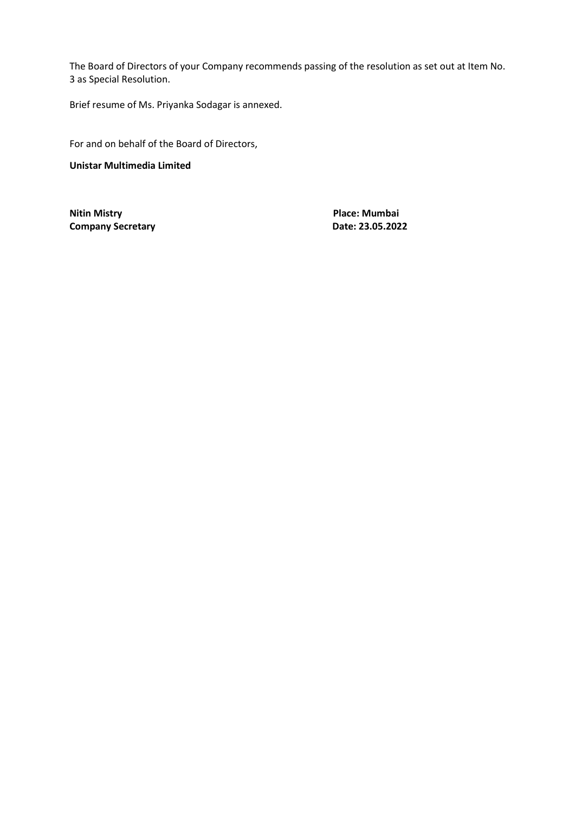The Board of Directors of your Company recommends passing of the resolution as set out at Item No. 3 as Special Resolution.

Brief resume of Ms. Priyanka Sodagar is annexed.

For and on behalf of the Board of Directors,

Unistar Multimedia Limited

Nitin Mistry **Place:** Mumbai Company Secretary **Date: 23.05.2022**